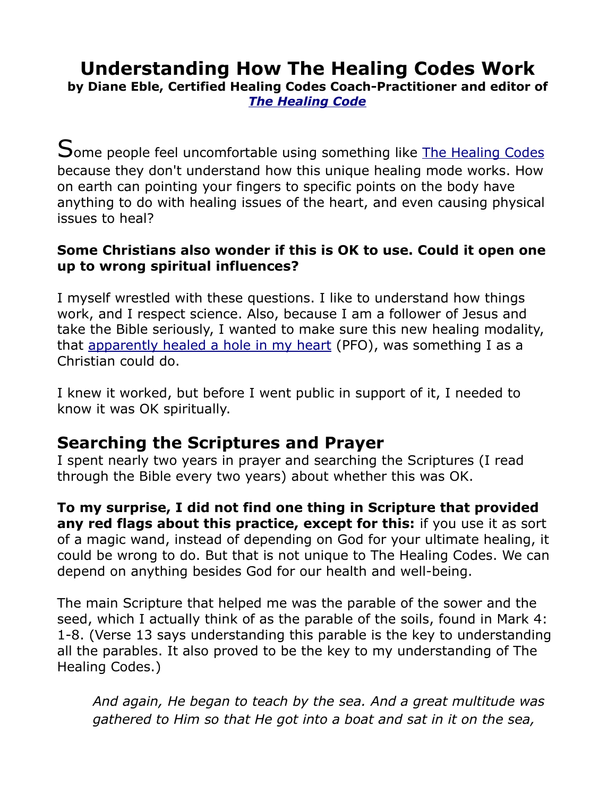# **Understanding How The Healing Codes Work**

**by Diane Eble, Certified Healing Codes Coach-Practitioner and editor of** *[The Healing Code](https://thehealingcodeinfo.com/)*

Some people feel uncomfortable using something like **[The Healing Codes](https://healingcodescoaching.com/)** because they don't understand how this unique healing mode works. How on earth can pointing your fingers to specific points on the body have anything to do with healing issues of the heart, and even causing physical issues to heal?

#### **Some Christians also wonder if this is OK to use. Could it open one up to wrong spiritual influences?**

I myself wrestled with these questions. I like to understand how things work, and I respect science. Also, because I am a follower of Jesus and take the Bible seriously, I wanted to make sure this new healing modality, that [apparently healed a hole in my heart](https://healingcodescoaching.com/My-healing-codes-story.html) (PFO), was something I as a Christian could do.

I knew it worked, but before I went public in support of it, I needed to know it was OK spiritually.

## **Searching the Scriptures and Prayer**

I spent nearly two years in prayer and searching the Scriptures (I read through the Bible every two years) about whether this was OK.

**To my surprise, I did not find one thing in Scripture that provided any red flags about this practice, except for this:** if you use it as sort of a magic wand, instead of depending on God for your ultimate healing, it could be wrong to do. But that is not unique to The Healing Codes. We can depend on anything besides God for our health and well-being.

The main Scripture that helped me was the parable of the sower and the seed, which I actually think of as the parable of the soils, found in Mark 4: 1-8. (Verse 13 says understanding this parable is the key to understanding all the parables. It also proved to be the key to my understanding of The Healing Codes.)

*And again, He began to teach by the sea. And a great multitude was gathered to Him so that He got into a boat and sat in it on the sea,*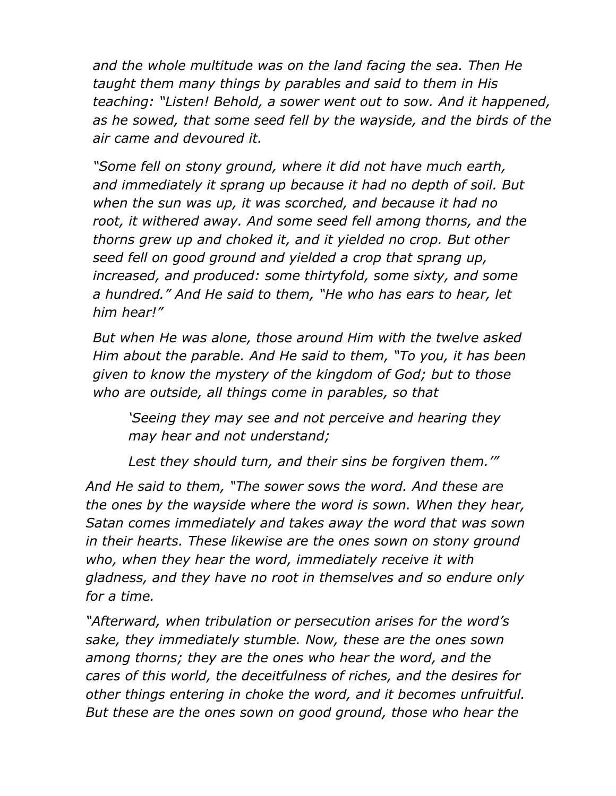*and the whole multitude was on the land facing the sea. Then He taught them many things by parables and said to them in His teaching: "Listen! Behold, a sower went out to sow. And it happened, as he sowed, that some seed fell by the wayside, and the birds of the air came and devoured it.*

*"Some fell on stony ground, where it did not have much earth, and immediately it sprang up because it had no depth of soil. But when the sun was up, it was scorched, and because it had no root, it withered away. And some seed fell among thorns, and the thorns grew up and choked it, and it yielded no crop. But other seed fell on good ground and yielded a crop that sprang up, increased, and produced: some thirtyfold, some sixty, and some a hundred." And He said to them, "He who has ears to hear, let him hear!"*

*But when He was alone, those around Him with the twelve asked Him about the parable. And He said to them, "To you, it has been given to know the mystery of the kingdom of God; but to those who are outside, all things come in parables, so that* 

*'Seeing they may see and not perceive and hearing they may hear and not understand;* 

*Lest they should turn, and their sins be forgiven them.'"*

*And He said to them, "The sower sows the word. And these are the ones by the wayside where the word is sown. When they hear, Satan comes immediately and takes away the word that was sown in their hearts. These likewise are the ones sown on stony ground who, when they hear the word, immediately receive it with gladness, and they have no root in themselves and so endure only for a time.*

*"Afterward, when tribulation or persecution arises for the word's sake, they immediately stumble. Now, these are the ones sown among thorns; they are the ones who hear the word, and the cares of this world, the deceitfulness of riches, and the desires for other things entering in choke the word, and it becomes unfruitful. But these are the ones sown on good ground, those who hear the*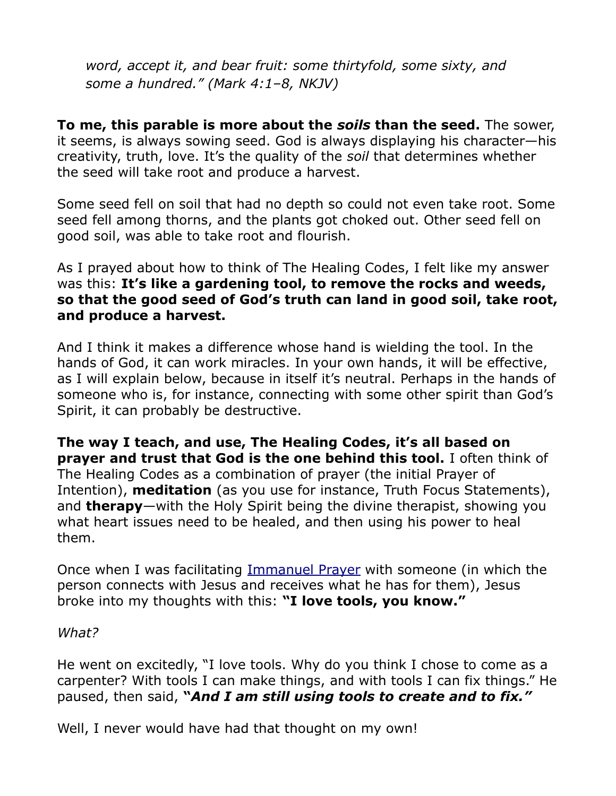*word, accept it, and bear fruit: some thirtyfold, some sixty, and some a hundred." (Mark 4:1–8, NKJV)*

**To me, this parable is more about the** *soils* **than the seed.** The sower, it seems, is always sowing seed. God is always displaying his character—his creativity, truth, love. It's the quality of the *soil* that determines whether the seed will take root and produce a harvest.

Some seed fell on soil that had no depth so could not even take root. Some seed fell among thorns, and the plants got choked out. Other seed fell on good soil, was able to take root and flourish.

As I prayed about how to think of The Healing Codes, I felt like my answer was this: **It's like a gardening tool, to remove the rocks and weeds, so that the good seed of God's truth can land in good soil, take root, and produce a harvest.**

And I think it makes a difference whose hand is wielding the tool. In the hands of God, it can work miracles. In your own hands, it will be effective, as I will explain below, because in itself it's neutral. Perhaps in the hands of someone who is, for instance, connecting with some other spirit than God's Spirit, it can probably be destructive.

**The way I teach, and use, The Healing Codes, it's all based on prayer and trust that God is the one behind this tool.** I often think of The Healing Codes as a combination of prayer (the initial Prayer of Intention), **meditation** (as you use for instance, Truth Focus Statements), and **therapy**—with the Holy Spirit being the divine therapist, showing you what heart issues need to be healed, and then using his power to heal them.

Once when I was facilitating [Immanuel Prayer](https://healingcodescoaching.com/immanuelprayer.html) with someone (in which the person connects with Jesus and receives what he has for them), Jesus broke into my thoughts with this: **"I love tools, you know."**

*What?*

He went on excitedly, "I love tools. Why do you think I chose to come as a carpenter? With tools I can make things, and with tools I can fix things." He paused, then said, **"***And I am still using tools to create and to fix."* 

Well, I never would have had that thought on my own!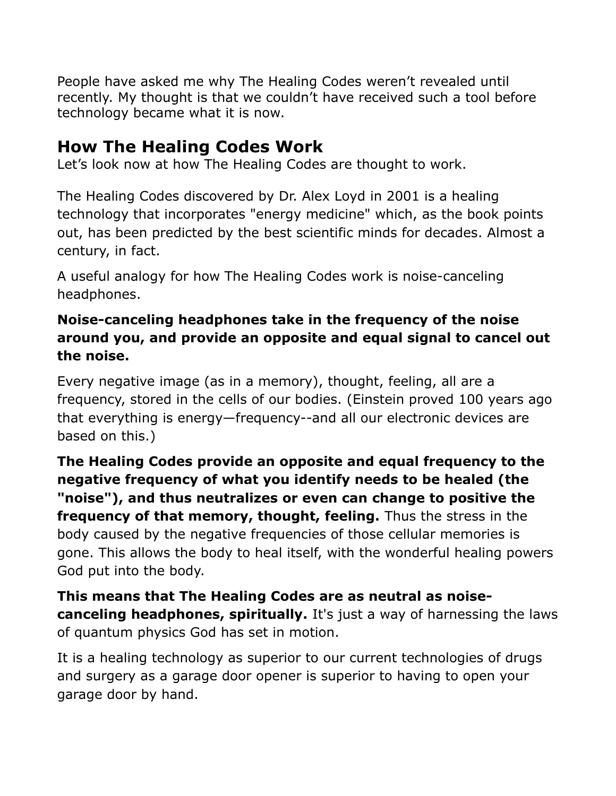People have asked me why The Healing Codes weren't revealed until recently. My thought is that we couldn't have received such a tool before technology became what it is now.

## **How The Healing Codes Work**

Let's look now at how The Healing Codes are thought to work.

The Healing Codes discovered by Dr. Alex Loyd in 2001 is a healing technology that incorporates "energy medicine" which, as the book points out, has been predicted by the best scientific minds for decades. Almost a century, in fact.

A useful analogy for how The Healing Codes work is noise-canceling headphones.

### **Noise-canceling headphones take in the frequency of the noise around you, and provide an opposite and equal signal to cancel out the noise.**

Every negative image (as in a memory), thought, feeling, all are a frequency, stored in the cells of our bodies. (Einstein proved 100 years ago that everything is energy—frequency--and all our electronic devices are based on this.)

**The Healing Codes provide an opposite and equal frequency to the negative frequency of what you identify needs to be healed (the "noise"), and thus neutralizes or even can change to positive the frequency of that memory, thought, feeling.** Thus the stress in the body caused by the negative frequencies of those cellular memories is gone. This allows the body to heal itself, with the wonderful healing powers God put into the body.

**This means that The Healing Codes are as neutral as noisecanceling headphones, spiritually.** It's just a way of harnessing the laws of quantum physics God has set in motion.

It is a healing technology as superior to our current technologies of drugs and surgery as a garage door opener is superior to having to open your garage door by hand.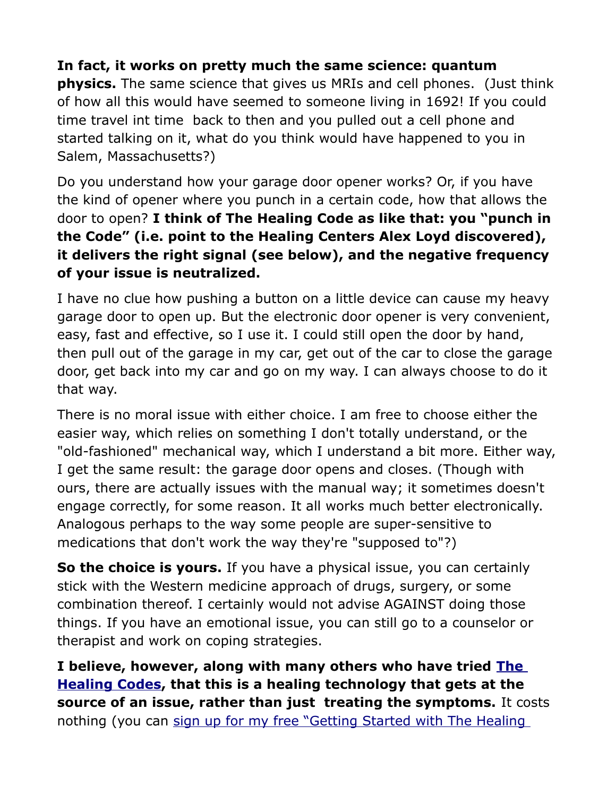#### **In fact, it works on pretty much the same science: quantum**

**physics.** The same science that gives us MRIs and cell phones. (Just think of how all this would have seemed to someone living in 1692! If you could time travel int time back to then and you pulled out a cell phone and started talking on it, what do you think would have happened to you in Salem, Massachusetts?)

Do you understand how your garage door opener works? Or, if you have the kind of opener where you punch in a certain code, how that allows the door to open? **I think of The Healing Code as like that: you "punch in the Code" (i.e. point to the Healing Centers Alex Loyd discovered), it delivers the right signal (see below), and the negative frequency of your issue is neutralized.**

I have no clue how pushing a button on a little device can cause my heavy garage door to open up. But the electronic door opener is very convenient, easy, fast and effective, so I use it. I could still open the door by hand, then pull out of the garage in my car, get out of the car to close the garage door, get back into my car and go on my way. I can always choose to do it that way.

There is no moral issue with either choice. I am free to choose either the easier way, which relies on something I don't totally understand, or the "old-fashioned" mechanical way, which I understand a bit more. Either way, I get the same result: the garage door opens and closes. (Though with ours, there are actually issues with the manual way; it sometimes doesn't engage correctly, for some reason. It all works much better electronically. Analogous perhaps to the way some people are super-sensitive to medications that don't work the way they're "supposed to"?)

**So the choice is yours.** If you have a physical issue, you can certainly stick with the Western medicine approach of drugs, surgery, or some combination thereof. I certainly would not advise AGAINST doing those things. If you have an emotional issue, you can still go to a counselor or therapist and work on coping strategies.

**I believe, however, along with many others who have tried [The](http://healingcodescoaching.com/)  [Healing Codes](http://healingcodescoaching.com/), that this is a healing technology that gets at the source of an issue, rather than just treating the symptoms.** It costs nothing (you can sign up for my free "Getting Started with The Healing